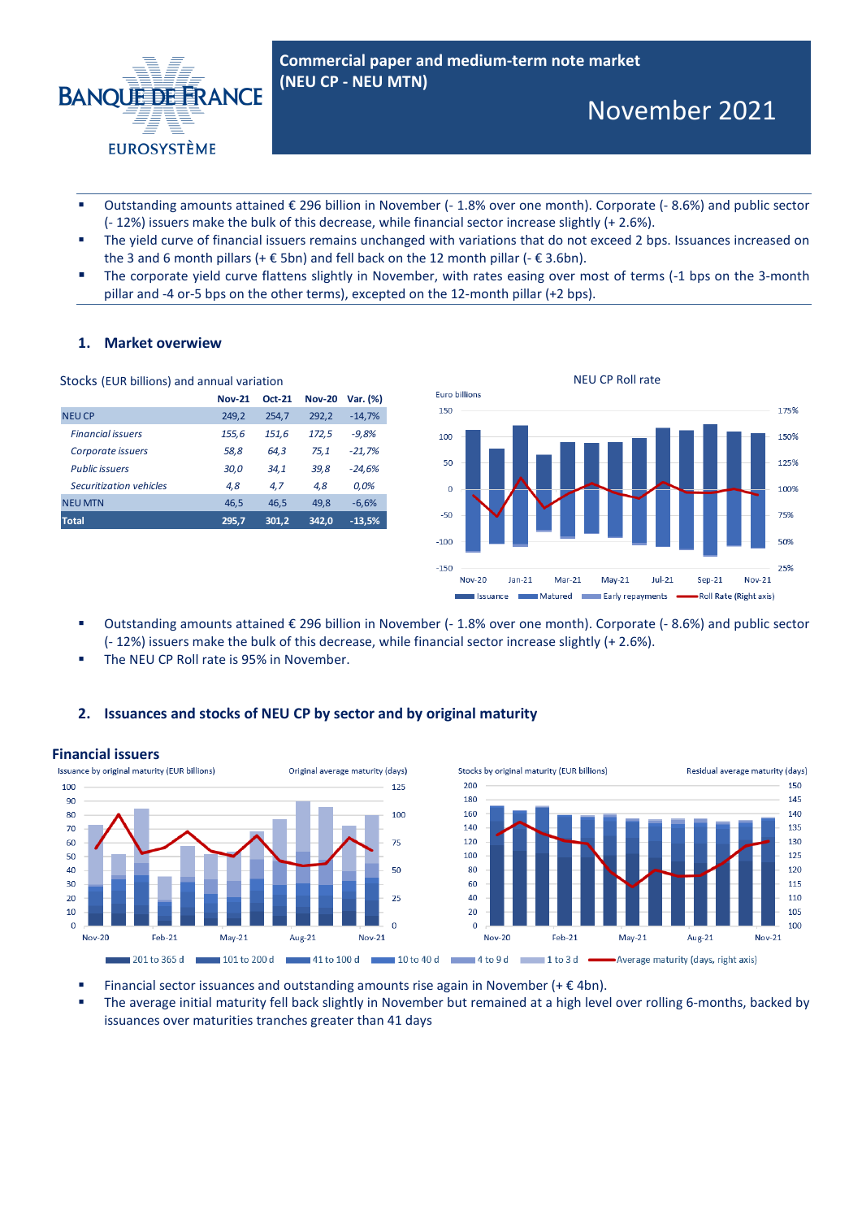

- Outstanding amounts attained  $\epsilon$  296 billion in November (- 1.8% over one month). Corporate (- 8.6%) and public sector (- 12%) issuers make the bulk of this decrease, while financial sector increase slightly (+ 2.6%).
- The yield curve of financial issuers remains unchanged with variations that do not exceed 2 bps. Issuances increased on the 3 and 6 month pillars (+  $\epsilon$  5bn) and fell back on the 12 month pillar (-  $\epsilon$  3.6bn).
- The corporate yield curve flattens slightly in November, with rates easing over most of terms (-1 bps on the 3-month pillar and -4 or-5 bps on the other terms), excepted on the 12-month pillar (+2 bps).

# **1. Market overwiew**

| Stocks (EUR billions) and annual variation |                                                                         |                                 |
|--------------------------------------------|-------------------------------------------------------------------------|---------------------------------|
|                                            | <b>Nov-20</b>                                                           | Var. (%)                        |
| 254.7                                      | 292,2                                                                   | $-14,7%$                        |
|                                            | 172,5                                                                   | $-9,8%$                         |
| 64,3                                       | 75,1                                                                    | $-21,7%$                        |
| 34,1                                       | 39,8                                                                    | $-24,6%$                        |
| 4.7                                        | 4,8                                                                     | 0.0%                            |
| 46,5                                       | 49,8                                                                    | $-6,6%$                         |
|                                            | 342,0                                                                   | $-13,5%$                        |
|                                            | <b>Nov-21</b><br>249,2<br>155,6<br>58,8<br>30,0<br>4.8<br>46,5<br>295,7 | <b>Oct-21</b><br>151,6<br>301,2 |



- Outstanding amounts attained € 296 billion in November (- 1.8% over one month). Corporate (- 8.6%) and public sector (- 12%) issuers make the bulk of this decrease, while financial sector increase slightly (+ 2.6%).
- The NEU CP Roll rate is 95% in November.

# **2. Issuances and stocks of NEU CP by sector and by original maturity**



Financial sector issuances and outstanding amounts rise again in November (+ $\epsilon$ 4bn).

 The average initial maturity fell back slightly in November but remained at a high level over rolling 6-months, backed by issuances over maturities tranches greater than 41 days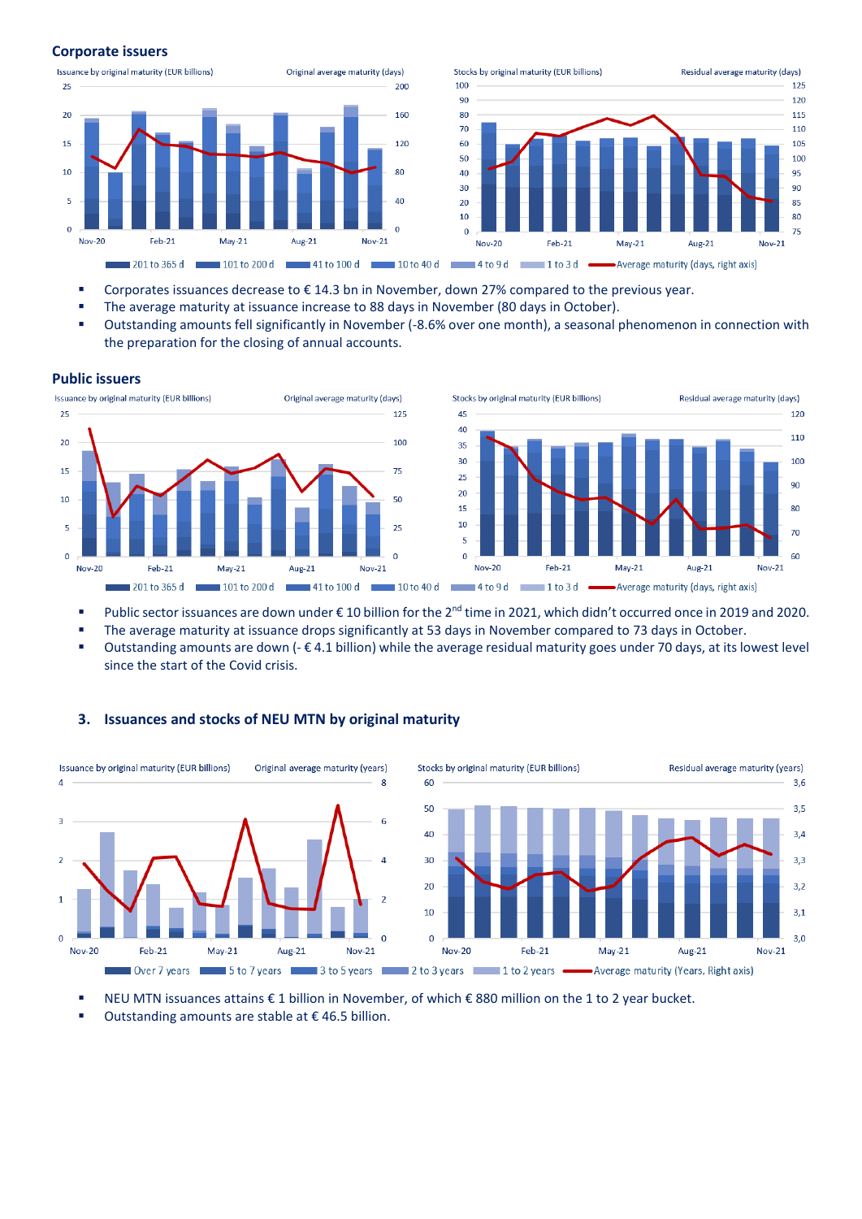### **Corporate issuers**





- Corporates issuances decrease to € 14.3 bn in November, down 27% compared to the previous year.
- **The average maturity at issuance increase to 88 days in November (80 days in October).**
- Outstanding amounts fell significantly in November (-8.6% over one month), a seasonal phenomenon in connection with the preparation for the closing of annual accounts.

#### **Public issuers**





- Public sector issuances are down under €10 billion for the 2<sup>nd</sup> time in 2021, which didn't occurred once in 2019 and 2020.
- The average maturity at issuance drops significantly at 53 days in November compared to 73 days in October.
- Outstanding amounts are down (- € 4.1 billion) while the average residual maturity goes under 70 days, at its lowest level since the start of the Covid crisis.



# **3. Issuances and stocks of NEU MTN by original maturity**

NEU MTN issuances attains € 1 billion in November, of which € 880 million on the 1 to 2 year bucket.

Outstanding amounts are stable at  $\epsilon$  46.5 billion.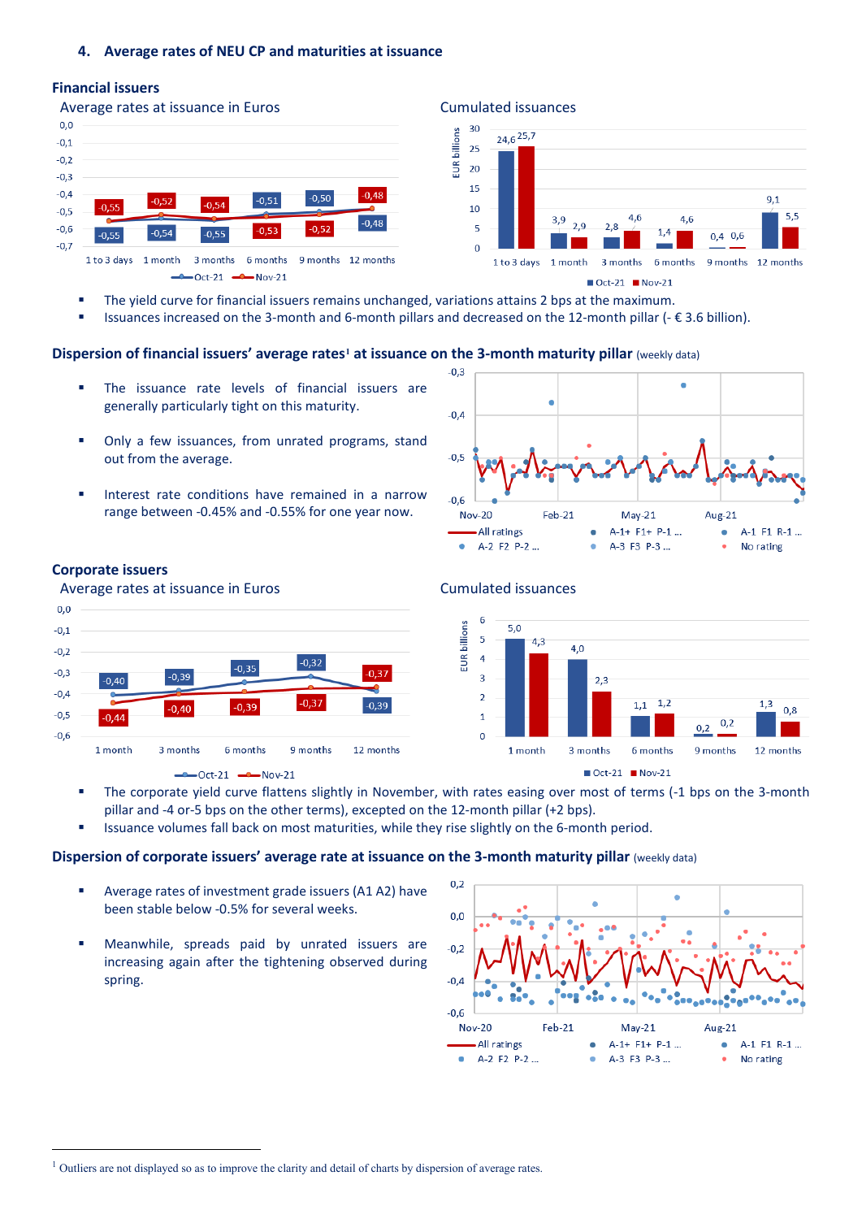# **4. Average rates of NEU CP and maturities at issuance**

#### **Financial issuers**





 $\blacksquare$  Oct-21  $\blacksquare$  Nov-21

- The yield curve for financial issuers remains unchanged, variations attains 2 bps at the maximum.
- Issuances increased on the 3-month and 6-month pillars and decreased on the 12-month pillar (- € 3.6 billion).

# **Dispersion of financial issuers' average rates[1](#page-2-0) at issuance on the 3-month maturity pillar** (weekly data)

- The issuance rate levels of financial issuers are generally particularly tight on this maturity.
- Only a few issuances, from unrated programs, stand out from the average.
- Interest rate conditions have remained in a narrow range between -0.45% and -0.55% for one year now.



# **Corporate issuers**







- The corporate yield curve flattens slightly in November, with rates easing over most of terms (-1 bps on the 3-month pillar and -4 or-5 bps on the other terms), excepted on the 12-month pillar (+2 bps).
- Issuance volumes fall back on most maturities, while they rise slightly on the 6-month period.

### **Dispersion of corporate issuers' average rate at issuance on the 3-month maturity pillar (weekly data)**

- Average rates of investment grade issuers (A1 A2) have been stable below -0.5% for several weeks.
- Meanwhile, spreads paid by unrated issuers are increasing again after the tightening observed during spring.



<span id="page-2-0"></span><sup>&</sup>lt;sup>1</sup> Outliers are not displayed so as to improve the clarity and detail of charts by dispersion of average rates.